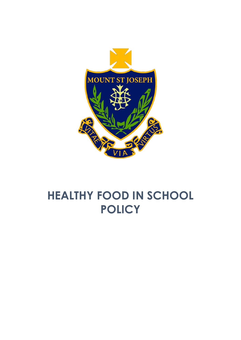

# **HEALTHY FOOD IN SCHOOL POLICY**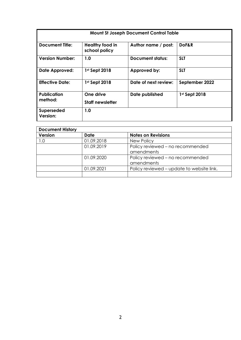| <b>Mount St Joseph Document Control Table</b> |                                      |                         |                |  |
|-----------------------------------------------|--------------------------------------|-------------------------|----------------|--|
| <b>Document Title:</b>                        | Healthy food in<br>school policy     | Author name / post:     | DoF&R          |  |
| <b>Version Number:</b>                        | 1.0                                  | <b>Document status:</b> | <b>SLT</b>     |  |
| <b>Date Approved:</b>                         | 1st Sept 2018                        | Approved by:            | <b>SLT</b>     |  |
| <b>Effective Date:</b>                        | 1st Sept 2018                        | Date of next review:    | September 2022 |  |
| <b>Publication</b><br>method:                 | One drive<br><b>Staff newsletter</b> | Date published          | 1st Sept 2018  |  |
| <b>Superseded</b><br>Version:                 | 1.0                                  |                         |                |  |

| <b>Document History</b> |            |                                           |  |
|-------------------------|------------|-------------------------------------------|--|
| <b>Version</b>          | Date       | <b>Notes on Revisions</b>                 |  |
| 1.0                     | 01.09.2018 | New Policy                                |  |
|                         | 01.09.2019 | Policy reviewed - no recommended          |  |
|                         |            | amendments                                |  |
|                         | 01.09.2020 | Policy reviewed - no recommended          |  |
|                         |            | amendments                                |  |
|                         | 01.09.2021 | Policy reviewed – update to website link. |  |
|                         |            |                                           |  |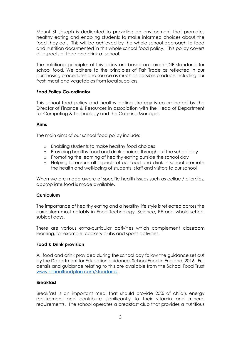Mount St Joseph is dedicated to providing an environment that promotes healthy eating and enabling students to make informed choices about the food they eat. This will be achieved by the whole school approach to food and nutrition documented in this whole school food policy. This policy covers all aspects of food and drink at school.

The nutritional principles of this policy are based on current DfE standards for school food. We adhere to the principles of Fair Trade as reflected in our purchasing procedures and source as much as possible produce including our fresh meat and vegetables from local suppliers.

## **Food Policy Co-ordinator**

This school food policy and healthy eating strategy is co-ordinated by the Director of Finance & Resources in association with the Head of Department for Computing & Technology and the Catering Manager.

## **Aims**

The main aims of our school food policy include:

- o Enabling students to make healthy food choices
- o Providing healthy food and drink choices throughout the school day
- o Promoting the learning of healthy eating outside the school day
- o Helping to ensure all aspects of our food and drink in school promote the health and well-being of students, staff and visitors to our school

When we are made aware of specific health issues such as celiac / allergies, appropriate food is made available.

#### **Curriculum**

The importance of healthy eating and a healthy life style is reflected across the curriculum most notably in Food Technology, Science, PE and whole school subject days.

There are various extra-curricular activities which complement classroom learning, for example, cookery clubs and sports activities.

#### **Food & Drink provision**

All food and drink provided during the school day follow the guidance set out by the Department for Education guidance, School Food in England, 2016. Full details and guidance relating to this are available from the School Food Trust [www.schoolfoodplan.com/standards\)](http://www.schoolfoodplan.com/standards).

## **Breakfast**

Breakfast is an important meal that should provide 25% of child's energy requirement and contribute significantly to their vitamin and mineral requirements. The school operates a breakfast club that provides a nutritious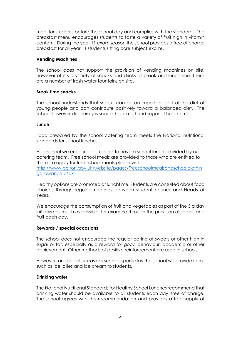meal for students before the school day and complies with the standards. The breakfast menu encourages students to taste a variety of fruit high in vitamin content. During the year 11 exam season the school provides a free of charge breakfast for all year 11 students sitting core subject exams.

#### **Vending Machines**

The school does not support the provision of vending machines on site, however offers a variety of snacks and drinks at break and lunchtime. There are a number of fresh water fountains on site.

## **Break time snacks**

The school understands that snacks can be an important part of the diet of young people and can contribute positively toward a balanced diet. The school however discourages snacks high in fat and sugar at break time.

## **Lunch**

Food prepared by the school catering team meets the National nutritional standards for school lunches.

As a school we encourage students to have a school lunch provided by our catering team. Free school meals are provided to those who are entitled to them. To apply for free school meals please visit: [http://www.bolton.gov.uk/website/pages/Freeschoolmealsandschoolclothin](http://www.bolton.gov.uk/website/pages/Freeschoolmealsandschoolclothingallowance.aspx) [gallowance.aspx](http://www.bolton.gov.uk/website/pages/Freeschoolmealsandschoolclothingallowance.aspx)

Healthy options are promoted at lunchtime. Students are consulted about food choices through regular meetings between student council and Heads of Years.

We encourage the consumption of fruit and vegetables as part of the 5 a day initiative as much as possible, for example through the provision of salads and fruit each day.

#### **Rewards / special occasions**

The school does not encourage the regular eating of sweets or other high in sugar or fat, especially as a reward for good behaviour, academic or other achievement. Other methods of positive reinforcement are used in schools.

However, on special occasions such as sports day the school will provide items such as ice lollies and ice cream to students.

#### **Drinking water**

The National Nutritional Standards for Healthy School Lunches recommend that drinking water should be available to all students each day, free of charge. The school agrees with this recommendation and provides a free supply of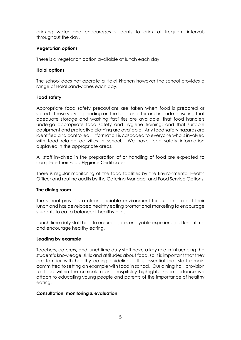drinking water and encourages students to drink at frequent intervals throughout the day.

## **Vegetarian options**

There is a vegetarian option available at lunch each day.

#### **Halal options**

The school does not operate a Halal kitchen however the school provides a range of Halal sandwiches each day.

## **Food safety**

Appropriate food safety precautions are taken when food is prepared or stored. These vary depending on the food on offer and include: ensuring that adequate storage and washing facilities are available; that food handlers undergo appropriate food safety and hygiene training; and that suitable equipment and protective clothing are available. Any food safety hazards are identified and controlled. Information is cascaded to everyone who is involved with food related activities in school. We have food safety information displayed in the appropriate areas.

All staff involved in the preparation of or handling of food are expected to complete their Food Hygiene Certificates.

There is regular monitoring of the food facilities by the Environmental Health Officer and routine audits by the Catering Manager and Food Service Options.

#### **The dining room**

The school provides a clean, sociable environment for students to eat their lunch and has developed healthy eating promotional marketing to encourage students to eat a balanced, healthy diet.

Lunch time duty staff help to ensure a safe, enjoyable experience at lunchtime and encourage healthy eating.

#### **Leading by example**

Teachers, caterers, and lunchtime duty staff have a key role in influencing the student's knowledge, skills and attitudes about food, so it is important that they are familiar with healthy eating guidelines. It is essential that staff remain committed to setting an example with food in school. Our dining hall, provision for food within the curriculum and hospitality highlights the importance we attach to educating young people and parents of the importance of healthy eating.

#### **Consultation, monitoring & evaluation**